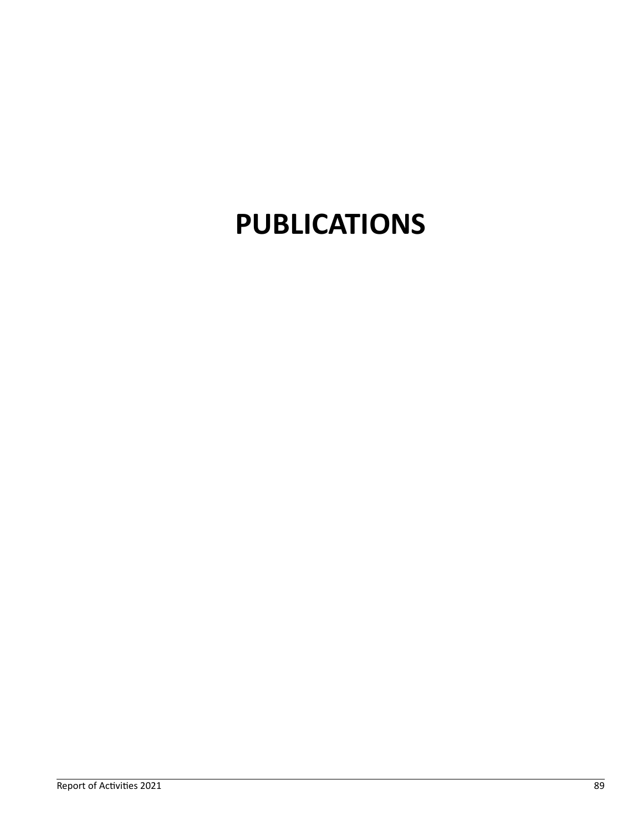# **PUBLICATIONS**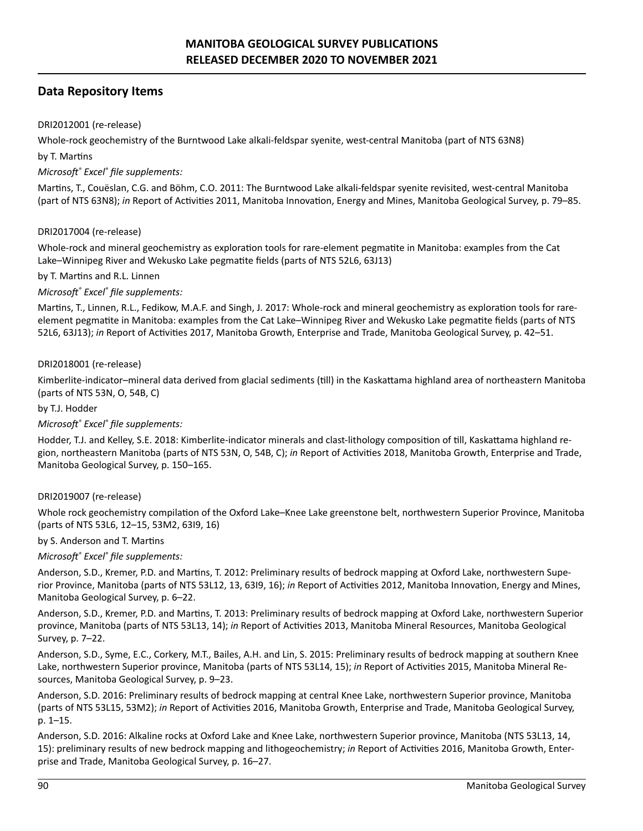# **Data Repository Items**

# DRI2012001 (re-release)

Whole-rock geochemistry of the Burntwood Lake alkali-feldspar syenite, west-central Manitoba (part of NTS 63N8)

## by T. Martins

# *Microsoft® Excel® file supplements:*

Martins, T., Couëslan, C.G. and Böhm, C.O. 2011: The Burntwood Lake alkali-feldspar syenite revisited, west-central Manitoba (part of NTS 63N8); *in* Report of Activities 2011, Manitoba Innovation, Energy and Mines, Manitoba Geological Survey, p. 79–85.

## DRI2017004 (re-release)

Whole-rock and mineral geochemistry as exploration tools for rare-element pegmatite in Manitoba: examples from the Cat Lake–Winnipeg River and Wekusko Lake pegmatite fields (parts of NTS 52L6, 63J13)

## by T. Martins and R.L. Linnen

# *Microsoft® Excel® file supplements:*

Martins, T., Linnen, R.L., Fedikow, M.A.F. and Singh, J. 2017: Whole-rock and mineral geochemistry as exploration tools for rareelement pegmatite in Manitoba: examples from the Cat Lake–Winnipeg River and Wekusko Lake pegmatite fields (parts of NTS 52L6, 63J13); *in* Report of Activities 2017, Manitoba Growth, Enterprise and Trade, Manitoba Geological Survey, p. 42–51.

# DRI2018001 (re-release)

Kimberlite-indicator–mineral data derived from glacial sediments (till) in the Kaskattama highland area of northeastern Manitoba (parts of NTS 53N, O, 54B, C)

## by T.J. Hodder

## *Microsoft® Excel® file supplements:*

Hodder, T.J. and Kelley, S.E. 2018: Kimberlite-indicator minerals and clast-lithology composition of till, Kaskattama highland region, northeastern Manitoba (parts of NTS 53N, O, 54B, C); *in* Report of Activities 2018, Manitoba Growth, Enterprise and Trade, Manitoba Geological Survey, p. 150–165.

## DRI2019007 (re-release)

Whole rock geochemistry compilation of the Oxford Lake–Knee Lake greenstone belt, northwestern Superior Province, Manitoba (parts of NTS 53L6, 12–15, 53M2, 63I9, 16)

## by S. Anderson and T. Martins

*Microsoft® Excel® file supplements:*

Anderson, S.D., Kremer, P.D. and Martins, T. 2012: Preliminary results of bedrock mapping at Oxford Lake, northwestern Superior Province, Manitoba (parts of NTS 53L12, 13, 63I9, 16); *in* Report of Activities 2012, Manitoba Innovation, Energy and Mines, Manitoba Geological Survey, p. 6–22.

Anderson, S.D., Kremer, P.D. and Martins, T. 2013: Preliminary results of bedrock mapping at Oxford Lake, northwestern Superior province, Manitoba (parts of NTS 53L13, 14); *in* Report of Activities 2013, Manitoba Mineral Resources, Manitoba Geological Survey, p. 7–22.

Anderson, S.D., Syme, E.C., Corkery, M.T., Bailes, A.H. and Lin, S. 2015: Preliminary results of bedrock mapping at southern Knee Lake, northwestern Superior province, Manitoba (parts of NTS 53L14, 15); *in* Report of Activities 2015, Manitoba Mineral Resources, Manitoba Geological Survey, p. 9–23.

Anderson, S.D. 2016: Preliminary results of bedrock mapping at central Knee Lake, northwestern Superior province, Manitoba (parts of NTS 53L15, 53M2); *in* Report of Activities 2016, Manitoba Growth, Enterprise and Trade, Manitoba Geological Survey, p. 1–15.

Anderson, S.D. 2016: Alkaline rocks at Oxford Lake and Knee Lake, northwestern Superior province, Manitoba (NTS 53L13, 14, 15): preliminary results of new bedrock mapping and lithogeochemistry; *in* Report of Activities 2016, Manitoba Growth, Enterprise and Trade, Manitoba Geological Survey, p. 16–27.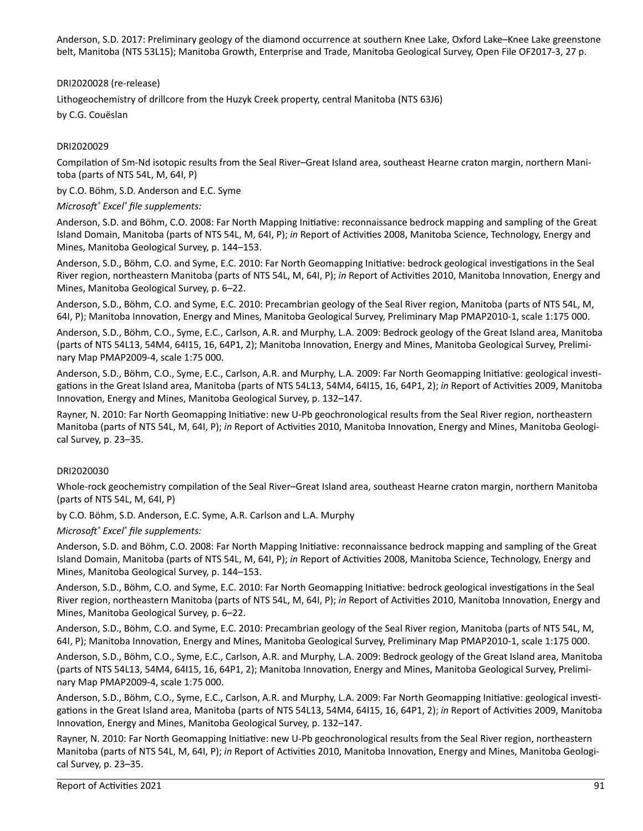Anderson, S.D. 2017: Preliminary geology of the diamond occurrence at southern Knee Lake, Oxford Lake–Knee Lake greenstone belt, Manitoba (NTS 53L15); Manitoba Growth, Enterprise and Trade, Manitoba Geological Survey, Open File OF2017-3, 27 p.

DRI2020028 (re-release)

Lithogeochemistry of drillcore from the Huzyk Creek property, central Manitoba (NTS 63J6)

by C.G. Couëslan

# DRI2020029

Compilation of Sm-Nd isotopic results from the Seal River–Great Island area, southeast Hearne craton margin, northern Manitoba (parts of NTS 54L, M, 64I, P)

by C.O. Böhm, S.D. Anderson and E.C. Syme

*Microsoft® Excel® file supplements:*

Anderson, S.D. and Böhm, C.O. 2008: Far North Mapping Initiative: reconnaissance bedrock mapping and sampling of the Great Island Domain, Manitoba (parts of NTS 54L, M, 64I, P); *in* Report of Activities 2008, Manitoba Science, Technology, Energy and Mines, Manitoba Geological Survey, p. 144–153.

Anderson, S.D., Böhm, C.O. and Syme, E.C. 2010: Far North Geomapping Initiative: bedrock geological investigations in the Seal River region, northeastern Manitoba (parts of NTS 54L, M, 64I, P); *in* Report of Activities 2010, Manitoba Innovation, Energy and Mines, Manitoba Geological Survey, p. 6–22.

Anderson, S.D., Böhm, C.O. and Syme, E.C. 2010: Precambrian geology of the Seal River region, Manitoba (parts of NTS 54L, M, 64I, P); Manitoba Innovation, Energy and Mines, Manitoba Geological Survey, Preliminary Map PMAP2010-1, scale 1:175 000.

Anderson, S.D., Böhm, C.O., Syme, E.C., Carlson, A.R. and Murphy, L.A. 2009: Bedrock geology of the Great Island area, Manitoba (parts of NTS 54L13, 54M4, 64I15, 16, 64P1, 2); Manitoba Innovation, Energy and Mines, Manitoba Geological Survey, Preliminary Map PMAP2009-4, scale 1:75 000.

Anderson, S.D., Böhm, C.O., Syme, E.C., Carlson, A.R. and Murphy, L.A. 2009: Far North Geomapping Initiative: geological investigations in the Great Island area, Manitoba (parts of NTS 54L13, 54M4, 64I15, 16, 64P1, 2); *in* Report of Activities 2009, Manitoba Innovation, Energy and Mines, Manitoba Geological Survey, p. 132–147.

Rayner, N. 2010: Far North Geomapping Initiative: new U-Pb geochronological results from the Seal River region, northeastern Manitoba (parts of NTS 54L, M, 64I, P); *in* Report of Activities 2010, Manitoba Innovation, Energy and Mines, Manitoba Geological Survey, p. 23–35.

## DRI2020030

Whole-rock geochemistry compilation of the Seal River–Great Island area, southeast Hearne craton margin, northern Manitoba (parts of NTS 54L, M, 64I, P)

by C.O. Böhm, S.D. Anderson, E.C. Syme, A.R. Carlson and L.A. Murphy

*Microsoft® Excel® file supplements:*

Anderson, S.D. and Böhm, C.O. 2008: Far North Mapping Initiative: reconnaissance bedrock mapping and sampling of the Great Island Domain, Manitoba (parts of NTS 54L, M, 64I, P); *in* Report of Activities 2008, Manitoba Science, Technology, Energy and Mines, Manitoba Geological Survey, p. 144–153.

Anderson, S.D., Böhm, C.O. and Syme, E.C. 2010: Far North Geomapping Initiative: bedrock geological investigations in the Seal River region, northeastern Manitoba (parts of NTS 54L, M, 64I, P); *in* Report of Activities 2010, Manitoba Innovation, Energy and Mines, Manitoba Geological Survey, p. 6–22.

Anderson, S.D., Böhm, C.O. and Syme, E.C. 2010: Precambrian geology of the Seal River region, Manitoba (parts of NTS 54L, M, 64I, P); Manitoba Innovation, Energy and Mines, Manitoba Geological Survey, Preliminary Map PMAP2010-1, scale 1:175 000.

Anderson, S.D., Böhm, C.O., Syme, E.C., Carlson, A.R. and Murphy, L.A. 2009: Bedrock geology of the Great Island area, Manitoba (parts of NTS 54L13, 54M4, 64I15, 16, 64P1, 2); Manitoba Innovation, Energy and Mines, Manitoba Geological Survey, Preliminary Map PMAP2009-4, scale 1:75 000.

Anderson, S.D., Böhm, C.O., Syme, E.C., Carlson, A.R. and Murphy, L.A. 2009: Far North Geomapping Initiative: geological investigations in the Great Island area, Manitoba (parts of NTS 54L13, 54M4, 64I15, 16, 64P1, 2); *in* Report of Activities 2009, Manitoba Innovation, Energy and Mines, Manitoba Geological Survey, p. 132–147.

Rayner, N. 2010: Far North Geomapping Initiative: new U-Pb geochronological results from the Seal River region, northeastern Manitoba (parts of NTS 54L, M, 64I, P); *in* Report of Activities 2010, Manitoba Innovation, Energy and Mines, Manitoba Geological Survey, p. 23–35.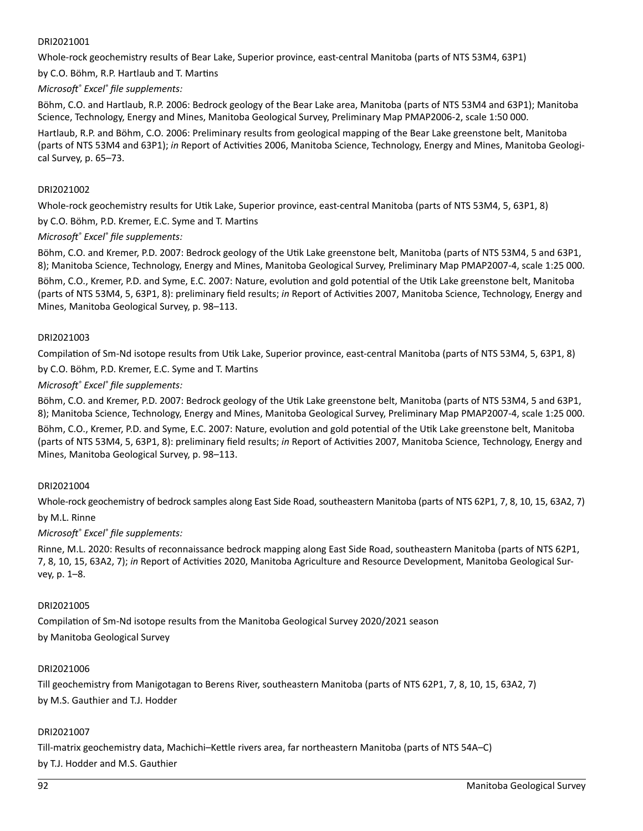## DRI2021001

Whole-rock geochemistry results of Bear Lake, Superior province, east-central Manitoba (parts of NTS 53M4, 63P1)

by C.O. Böhm, R.P. Hartlaub and T. Martins

#### *Microsoft® Excel® file supplements:*

Böhm, C.O. and Hartlaub, R.P. 2006: Bedrock geology of the Bear Lake area, Manitoba (parts of NTS 53M4 and 63P1); Manitoba Science, Technology, Energy and Mines, Manitoba Geological Survey, Preliminary Map PMAP2006-2, scale 1:50 000.

Hartlaub, R.P. and Böhm, C.O. 2006: Preliminary results from geological mapping of the Bear Lake greenstone belt, Manitoba (parts of NTS 53M4 and 63P1); *in* Report of Activities 2006, Manitoba Science, Technology, Energy and Mines, Manitoba Geological Survey, p. 65–73.

## DRI2021002

Whole-rock geochemistry results for Utik Lake, Superior province, east-central Manitoba (parts of NTS 53M4, 5, 63P1, 8)

by C.O. Böhm, P.D. Kremer, E.C. Syme and T. Martins

#### *Microsoft® Excel® file supplements:*

Böhm, C.O. and Kremer, P.D. 2007: Bedrock geology of the Utik Lake greenstone belt, Manitoba (parts of NTS 53M4, 5 and 63P1, 8); Manitoba Science, Technology, Energy and Mines, Manitoba Geological Survey, Preliminary Map PMAP2007-4, scale 1:25 000.

Böhm, C.O., Kremer, P.D. and Syme, E.C. 2007: Nature, evolution and gold potential of the Utik Lake greenstone belt, Manitoba (parts of NTS 53M4, 5, 63P1, 8): preliminary field results; *in* Report of Activities 2007, Manitoba Science, Technology, Energy and Mines, Manitoba Geological Survey, p. 98–113.

#### DRI2021003

Compilation of Sm-Nd isotope results from Utik Lake, Superior province, east-central Manitoba (parts of NTS 53M4, 5, 63P1, 8)

by C.O. Böhm, P.D. Kremer, E.C. Syme and T. Martins

#### *Microsoft® Excel® file supplements:*

Böhm, C.O. and Kremer, P.D. 2007: Bedrock geology of the Utik Lake greenstone belt, Manitoba (parts of NTS 53M4, 5 and 63P1, 8); Manitoba Science, Technology, Energy and Mines, Manitoba Geological Survey, Preliminary Map PMAP2007-4, scale 1:25 000.

Böhm, C.O., Kremer, P.D. and Syme, E.C. 2007: Nature, evolution and gold potential of the Utik Lake greenstone belt, Manitoba (parts of NTS 53M4, 5, 63P1, 8): preliminary field results; *in* Report of Activities 2007, Manitoba Science, Technology, Energy and Mines, Manitoba Geological Survey, p. 98–113.

## DRI2021004

Whole-rock geochemistry of bedrock samples along East Side Road, southeastern Manitoba (parts of NTS 62P1, 7, 8, 10, 15, 63A2, 7) by M.L. Rinne

# *Microsoft® Excel® file supplements:*

Rinne, M.L. 2020: Results of reconnaissance bedrock mapping along East Side Road, southeastern Manitoba (parts of NTS 62P1, 7, 8, 10, 15, 63A2, 7); *in* Report of Activities 2020, Manitoba Agriculture and Resource Development, Manitoba Geological Survey, p. 1–8.

#### DRI2021005

Compilation of Sm-Nd isotope results from the Manitoba Geological Survey 2020/2021 season by Manitoba Geological Survey

#### DRI2021006

Till geochemistry from Manigotagan to Berens River, southeastern Manitoba (parts of NTS 62P1, 7, 8, 10, 15, 63A2, 7) by M.S. Gauthier and T.J. Hodder

#### DRI2021007

Till-matrix geochemistry data, Machichi–Kettle rivers area, far northeastern Manitoba (parts of NTS 54A–C) by T.J. Hodder and M.S. Gauthier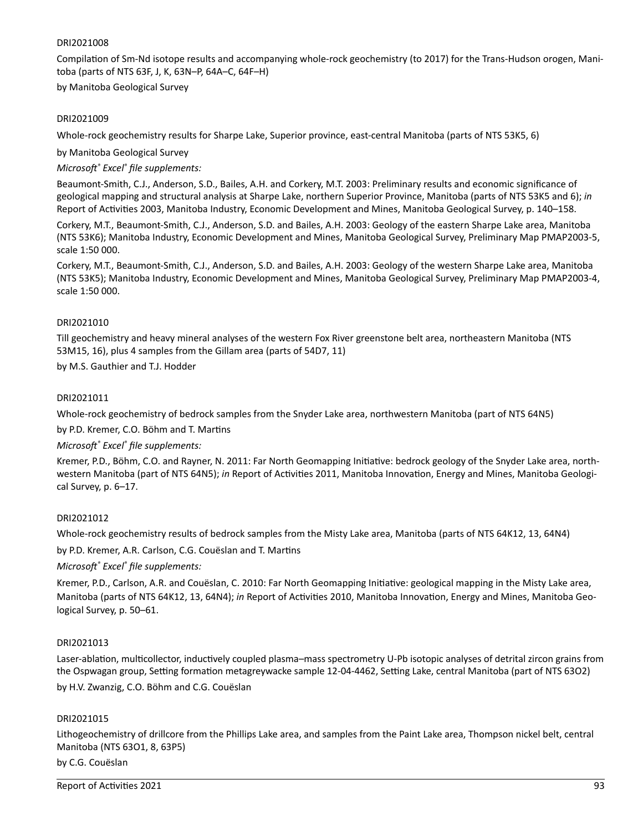#### DRI2021008

Compilation of Sm-Nd isotope results and accompanying whole-rock geochemistry (to 2017) for the Trans-Hudson orogen, Manitoba (parts of NTS 63F, J, K, 63N–P, 64A–C, 64F–H)

by Manitoba Geological Survey

#### DRI2021009

Whole-rock geochemistry results for Sharpe Lake, Superior province, east-central Manitoba (parts of NTS 53K5, 6)

by Manitoba Geological Survey

*Microsoft® Excel® file supplements:*

Beaumont-Smith, C.J., Anderson, S.D., Bailes, A.H. and Corkery, M.T. 2003: Preliminary results and economic significance of geological mapping and structural analysis at Sharpe Lake, northern Superior Province, Manitoba (parts of NTS 53K5 and 6); *in*  Report of Activities 2003, Manitoba Industry, Economic Development and Mines, Manitoba Geological Survey, p. 140–158.

Corkery, M.T., Beaumont-Smith, C.J., Anderson, S.D. and Bailes, A.H. 2003: Geology of the eastern Sharpe Lake area, Manitoba (NTS 53K6); Manitoba Industry, Economic Development and Mines, Manitoba Geological Survey, Preliminary Map PMAP2003-5, scale 1:50 000.

Corkery, M.T., Beaumont-Smith, C.J., Anderson, S.D. and Bailes, A.H. 2003: Geology of the western Sharpe Lake area, Manitoba (NTS 53K5); Manitoba Industry, Economic Development and Mines, Manitoba Geological Survey, Preliminary Map PMAP2003-4, scale 1:50 000.

#### DRI2021010

Till geochemistry and heavy mineral analyses of the western Fox River greenstone belt area, northeastern Manitoba (NTS 53M15, 16), plus 4 samples from the Gillam area (parts of 54D7, 11)

by M.S. Gauthier and T.J. Hodder

#### DRI2021011

Whole-rock geochemistry of bedrock samples from the Snyder Lake area, northwestern Manitoba (part of NTS 64N5)

by P.D. Kremer, C.O. Böhm and T. Martins

*Microsoft® Excel® file supplements:*

Kremer, P.D., Böhm, C.O. and Rayner, N. 2011: Far North Geomapping Initiative: bedrock geology of the Snyder Lake area, northwestern Manitoba (part of NTS 64N5); *in* Report of Activities 2011, Manitoba Innovation, Energy and Mines, Manitoba Geological Survey, p. 6–17.

## DRI2021012

Whole-rock geochemistry results of bedrock samples from the Misty Lake area, Manitoba (parts of NTS 64K12, 13, 64N4)

by P.D. Kremer, A.R. Carlson, C.G. Couëslan and T. Martins

*Microsoft® Excel® file supplements:*

Kremer, P.D., Carlson, A.R. and Couëslan, C. 2010: Far North Geomapping Initiative: geological mapping in the Misty Lake area, Manitoba (parts of NTS 64K12, 13, 64N4); *in* Report of Activities 2010, Manitoba Innovation, Energy and Mines, Manitoba Geological Survey, p. 50–61.

#### DRI2021013

Laser-ablation, multicollector, inductively coupled plasma–mass spectrometry U-Pb isotopic analyses of detrital zircon grains from the Ospwagan group, Setting formation metagreywacke sample 12-04-4462, Setting Lake, central Manitoba (part of NTS 63O2) by H.V. Zwanzig, C.O. Böhm and C.G. Couëslan

#### DRI2021015

Lithogeochemistry of drillcore from the Phillips Lake area, and samples from the Paint Lake area, Thompson nickel belt, central Manitoba (NTS 63O1, 8, 63P5)

#### by C.G. Couëslan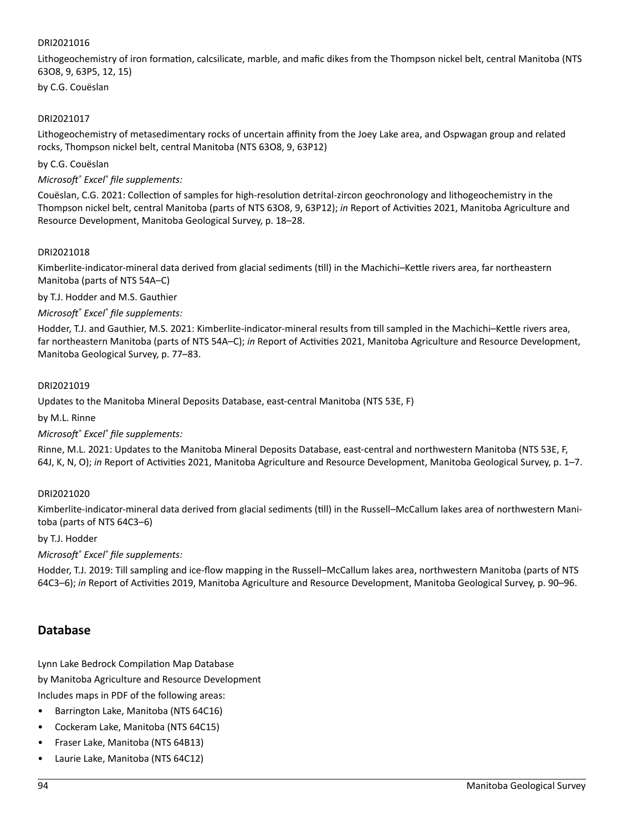## DRI2021016

Lithogeochemistry of iron formation, calcsilicate, marble, and mafic dikes from the Thompson nickel belt, central Manitoba (NTS 63O8, 9, 63P5, 12, 15)

by C.G. Couëslan

#### DRI2021017

Lithogeochemistry of metasedimentary rocks of uncertain affinity from the Joey Lake area, and Ospwagan group and related rocks, Thompson nickel belt, central Manitoba (NTS 63O8, 9, 63P12)

by C.G. Couëslan

*Microsoft® Excel® file supplements:*

Couëslan, C.G. 2021: Collection of samples for high-resolution detrital-zircon geochronology and lithogeochemistry in the Thompson nickel belt, central Manitoba (parts of NTS 63O8, 9, 63P12); *in* Report of Activities 2021, Manitoba Agriculture and Resource Development, Manitoba Geological Survey, p. 18–28.

#### DRI2021018

Kimberlite-indicator-mineral data derived from glacial sediments (till) in the Machichi–Kettle rivers area, far northeastern Manitoba (parts of NTS 54A–C)

by T.J. Hodder and M.S. Gauthier

#### *Microsoft® Excel® file supplements:*

Hodder, T.J. and Gauthier, M.S. 2021: Kimberlite-indicator-mineral results from till sampled in the Machichi–Kettle rivers area, far northeastern Manitoba (parts of NTS 54A–C); *in* Report of Activities 2021, Manitoba Agriculture and Resource Development, Manitoba Geological Survey, p. 77–83.

#### DRI2021019

Updates to the Manitoba Mineral Deposits Database, east-central Manitoba (NTS 53E, F)

by M.L. Rinne

#### *Microsoft® Excel® file supplements:*

Rinne, M.L. 2021: Updates to the Manitoba Mineral Deposits Database, east-central and northwestern Manitoba (NTS 53E, F, 64J, K, N, O); *in* Report of Activities 2021, Manitoba Agriculture and Resource Development, Manitoba Geological Survey, p. 1–7.

#### DRI2021020

Kimberlite-indicator-mineral data derived from glacial sediments (till) in the Russell–McCallum lakes area of northwestern Manitoba (parts of NTS 64C3–6)

#### by T.J. Hodder

*Microsoft® Excel® file supplements:*

Hodder, T.J. 2019: Till sampling and ice-flow mapping in the Russell–McCallum lakes area, northwestern Manitoba (parts of NTS 64C3–6); *in* Report of Activities 2019, Manitoba Agriculture and Resource Development, Manitoba Geological Survey, p. 90–96.

## **Database**

Lynn Lake Bedrock Compilation Map Database by Manitoba Agriculture and Resource Development

Includes maps in PDF of the following areas:

- Barrington Lake, Manitoba (NTS 64C16)
- Cockeram Lake, Manitoba (NTS 64C15)
- Fraser Lake, Manitoba (NTS 64B13)
- Laurie Lake, Manitoba (NTS 64C12)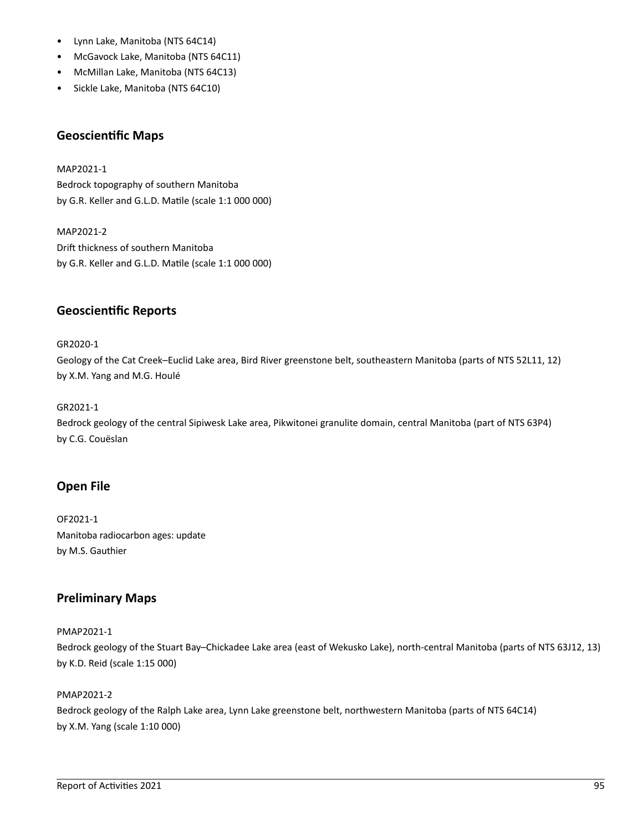- Lynn Lake, Manitoba (NTS 64C14)
- McGavock Lake, Manitoba (NTS 64C11)
- McMillan Lake, Manitoba (NTS 64C13)
- Sickle Lake, Manitoba (NTS 64C10)

# **Geoscientific Maps**

MAP2021-1 Bedrock topography of southern Manitoba by G.R. Keller and G.L.D. Matile (scale 1:1 000 000)

MAP2021-2 Drift thickness of southern Manitoba by G.R. Keller and G.L.D. Matile (scale 1:1 000 000)

# **Geoscientific Reports**

GR2020-1 Geology of the Cat Creek–Euclid Lake area, Bird River greenstone belt, southeastern Manitoba (parts of NTS 52L11, 12) by X.M. Yang and M.G. Houlé

# GR2021-1

Bedrock geology of the central Sipiwesk Lake area, Pikwitonei granulite domain, central Manitoba (part of NTS 63P4) by C.G. Couëslan

# **Open File**

OF2021-1 Manitoba radiocarbon ages: update by M.S. Gauthier

# **Preliminary Maps**

## PMAP2021-1

Bedrock geology of the Stuart Bay–Chickadee Lake area (east of Wekusko Lake), north-central Manitoba (parts of NTS 63J12, 13) by K.D. Reid (scale 1:15 000)

# PMAP2021-2

Bedrock geology of the Ralph Lake area, Lynn Lake greenstone belt, northwestern Manitoba (parts of NTS 64C14) by X.M. Yang (scale 1:10 000)